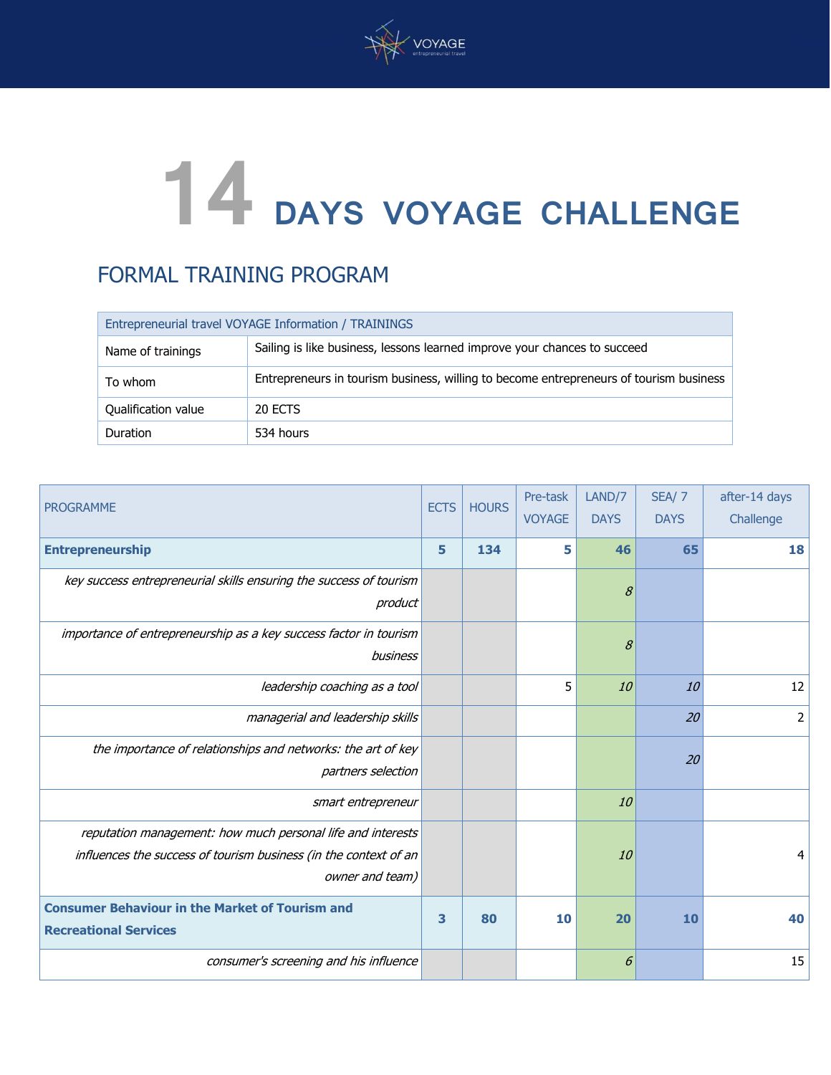

## **14 DAYS VOYAGE CHALLENGE**

## FORMAL TRAINING PROGRAM

| Entrepreneurial travel VOYAGE Information / TRAININGS |                                                                                        |  |  |
|-------------------------------------------------------|----------------------------------------------------------------------------------------|--|--|
| Name of trainings                                     | Sailing is like business, lessons learned improve your chances to succeed              |  |  |
| To whom                                               | Entrepreneurs in tourism business, willing to become entrepreneurs of tourism business |  |  |
| Qualification value                                   | 20 ECTS                                                                                |  |  |
| Duration                                              | 534 hours                                                                              |  |  |

| <b>PROGRAMME</b>                                                                                                                                   | <b>ECTS</b> | <b>HOURS</b> | Pre-task<br><b>VOYAGE</b> | LAND/7<br><b>DAYS</b> | SEA/7<br><b>DAYS</b> | after-14 days<br>Challenge |
|----------------------------------------------------------------------------------------------------------------------------------------------------|-------------|--------------|---------------------------|-----------------------|----------------------|----------------------------|
| <b>Entrepreneurship</b>                                                                                                                            | 5           | 134          | 5                         | 46                    | 65                   | 18                         |
| key success entrepreneurial skills ensuring the success of tourism<br>product                                                                      |             |              |                           | 8                     |                      |                            |
| importance of entrepreneurship as a key success factor in tourism<br>business                                                                      |             |              |                           | 8                     |                      |                            |
| leadership coaching as a tool                                                                                                                      |             |              | 5                         | 10                    | 10                   | 12                         |
| managerial and leadership skills                                                                                                                   |             |              |                           |                       | 20                   | $\overline{2}$             |
| the importance of relationships and networks: the art of key<br>partners selection                                                                 |             |              |                           |                       | 20                   |                            |
| smart entrepreneur                                                                                                                                 |             |              |                           | 10                    |                      |                            |
| reputation management: how much personal life and interests<br>influences the success of tourism business (in the context of an<br>owner and team) |             |              |                           | 10                    |                      |                            |
| <b>Consumer Behaviour in the Market of Tourism and</b><br><b>Recreational Services</b>                                                             | 3           | 80           | 10                        | 20                    | 10                   | 40                         |
| consumer's screening and his influence                                                                                                             |             |              |                           | 6                     |                      | 15                         |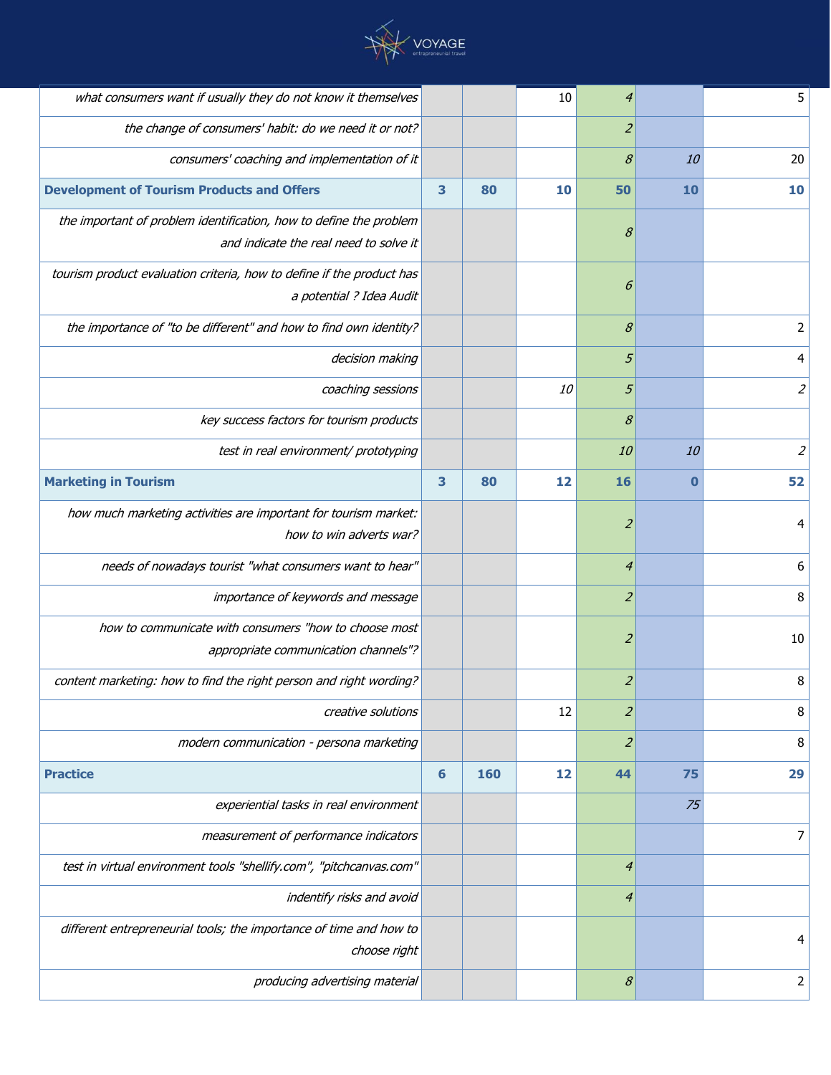

| what consumers want if usually they do not know it themselves         |   |     | 10        | 4                |          | 5              |
|-----------------------------------------------------------------------|---|-----|-----------|------------------|----------|----------------|
| the change of consumers' habit: do we need it or not?                 |   |     |           | $\overline{2}$   |          |                |
| consumers' coaching and implementation of it                          |   |     |           | 8                | 10       | 20             |
| <b>Development of Tourism Products and Offers</b>                     | 3 | 80  | 10        | 50               | 10       | 10             |
| the important of problem identification, how to define the problem    |   |     |           | 8                |          |                |
| and indicate the real need to solve it                                |   |     |           |                  |          |                |
| tourism product evaluation criteria, how to define if the product has |   |     |           | 6                |          |                |
| a potential ? Idea Audit                                              |   |     |           |                  |          |                |
| the importance of "to be different" and how to find own identity?     |   |     |           | 8                |          | 2              |
| decision making                                                       |   |     |           | $\mathfrak{s}$   |          | 4              |
| coaching sessions                                                     |   |     | <i>10</i> | $\mathfrak{s}$   |          | $\overline{2}$ |
| key success factors for tourism products                              |   |     |           | 8                |          |                |
| test in real environment/ prototyping                                 |   |     |           | 10               | 10       | $\overline{2}$ |
| <b>Marketing in Tourism</b>                                           | 3 | 80  | 12        | 16               | $\bf{0}$ | 52             |
| how much marketing activities are important for tourism market:       |   |     |           | $\overline{z}$   |          | 4              |
| how to win adverts war?                                               |   |     |           |                  |          |                |
| needs of nowadays tourist "what consumers want to hear"               |   |     |           | $\overline{4}$   |          | 6              |
| importance of keywords and message                                    |   |     |           | $\overline{2}$   |          | 8              |
| how to communicate with consumers "how to choose most                 |   |     |           | $\overline{z}$   |          | 10             |
| appropriate communication channels"?                                  |   |     |           |                  |          |                |
| content marketing: how to find the right person and right wording?    |   |     |           | $\overline{z}$   |          | 8              |
| creative solutions                                                    |   |     | 12        | $\overline{z}$   |          | 8              |
| modern communication - persona marketing                              |   |     |           | $\overline{z}$   |          | 8              |
| <b>Practice</b>                                                       | 6 | 160 | 12        | 44               | 75       | 29             |
| experiential tasks in real environment                                |   |     |           |                  | 75       |                |
| measurement of performance indicators                                 |   |     |           |                  |          | 7              |
| test in virtual environment tools "shellify.com", "pitchcanvas.com"   |   |     |           | $\overline{4}$   |          |                |
| indentify risks and avoid                                             |   |     |           | $\boldsymbol{4}$ |          |                |
| different entrepreneurial tools; the importance of time and how to    |   |     |           |                  |          | 4              |
| choose right                                                          |   |     |           |                  |          |                |
| producing advertising material                                        |   |     |           | $\mathcal S$     |          | 2              |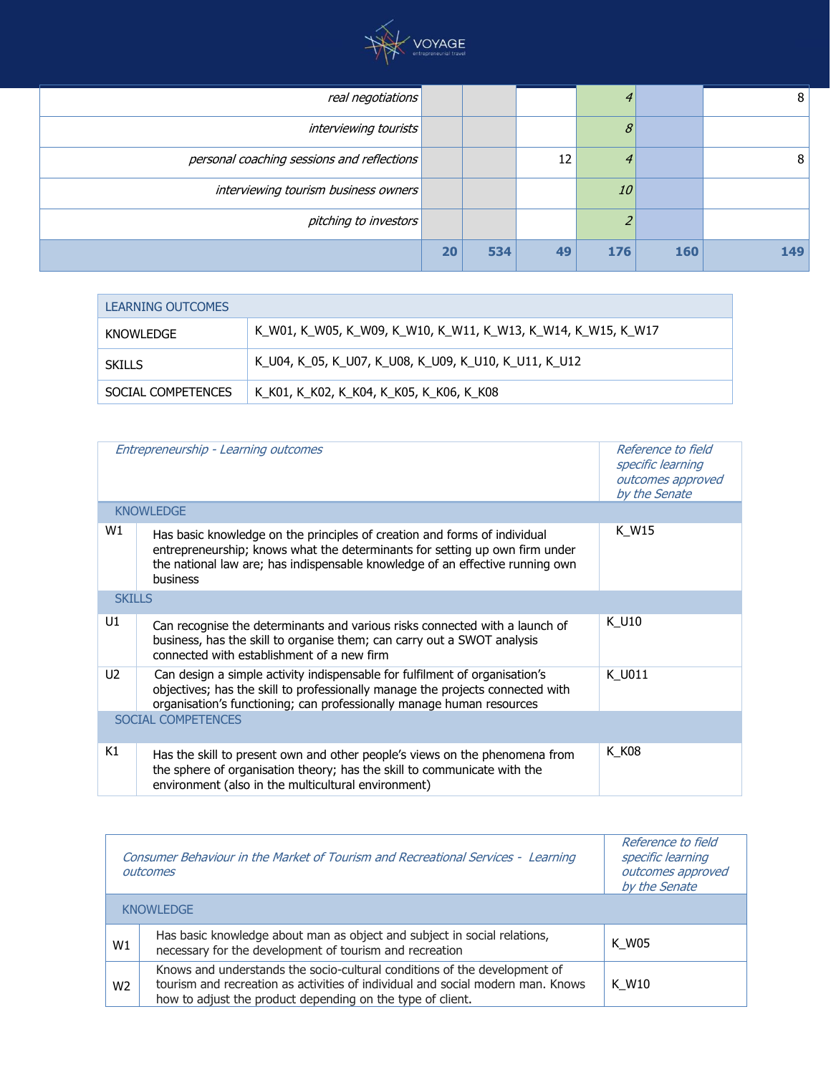

| real negotiations                          |    |     |    |     |     | 8   |
|--------------------------------------------|----|-----|----|-----|-----|-----|
| <i>interviewing tourists</i>               |    |     |    |     |     |     |
| personal coaching sessions and reflections |    |     | 12 |     |     | 8   |
| interviewing tourism business owners       |    |     |    | 10  |     |     |
| pitching to investors                      |    |     |    |     |     |     |
|                                            | 20 | 534 | 49 | 176 | 160 | 149 |

| <b>LEARNING OUTCOMES</b> |                                                               |  |  |  |
|--------------------------|---------------------------------------------------------------|--|--|--|
| KNOWLEDGE                | K_W01, K_W05, K_W09, K_W10, K_W11, K_W13, K_W14, K_W15, K_W17 |  |  |  |
| <b>SKILLS</b>            | K_U04, K_05, K_U07, K_U08, K_U09, K_U10, K_U11, K_U12         |  |  |  |
| SOCIAL COMPETENCES       | K_K01, K_K02, K_K04, K_K05, K_K06, K_K08                      |  |  |  |

| Entrepreneurship - Learning outcomes |                                                                                                                                                                                                                                                              | Reference to field<br>specific learning<br>outcomes approved<br>by the Senate |  |
|--------------------------------------|--------------------------------------------------------------------------------------------------------------------------------------------------------------------------------------------------------------------------------------------------------------|-------------------------------------------------------------------------------|--|
|                                      | <b>KNOWLEDGE</b>                                                                                                                                                                                                                                             |                                                                               |  |
| W1                                   | Has basic knowledge on the principles of creation and forms of individual<br>entrepreneurship; knows what the determinants for setting up own firm under<br>the national law are; has indispensable knowledge of an effective running own<br><b>business</b> | K W15                                                                         |  |
| <b>SKILLS</b>                        |                                                                                                                                                                                                                                                              |                                                                               |  |
| U1                                   | Can recognise the determinants and various risks connected with a launch of<br>business, has the skill to organise them; can carry out a SWOT analysis<br>connected with establishment of a new firm                                                         | K U10                                                                         |  |
| U <sub>2</sub>                       | Can design a simple activity indispensable for fulfilment of organisation's<br>objectives; has the skill to professionally manage the projects connected with<br>organisation's functioning; can professionally manage human resources                       | K U011                                                                        |  |
| <b>SOCIAL COMPETENCES</b>            |                                                                                                                                                                                                                                                              |                                                                               |  |
| K1                                   | Has the skill to present own and other people's views on the phenomena from<br>the sphere of organisation theory; has the skill to communicate with the<br>environment (also in the multicultural environment)                                               | K K08                                                                         |  |

|                | Consumer Behaviour in the Market of Tourism and Recreational Services - Learning<br>outcomes                                                                                                                               | Reference to field<br>specific learning<br>outcomes approved<br>by the Senate |
|----------------|----------------------------------------------------------------------------------------------------------------------------------------------------------------------------------------------------------------------------|-------------------------------------------------------------------------------|
|                | <b>KNOWLEDGE</b>                                                                                                                                                                                                           |                                                                               |
| W1             | Has basic knowledge about man as object and subject in social relations,<br>necessary for the development of tourism and recreation                                                                                        | K W05                                                                         |
| W <sub>2</sub> | Knows and understands the socio-cultural conditions of the development of<br>tourism and recreation as activities of individual and social modern man. Knows<br>how to adjust the product depending on the type of client. | K W10                                                                         |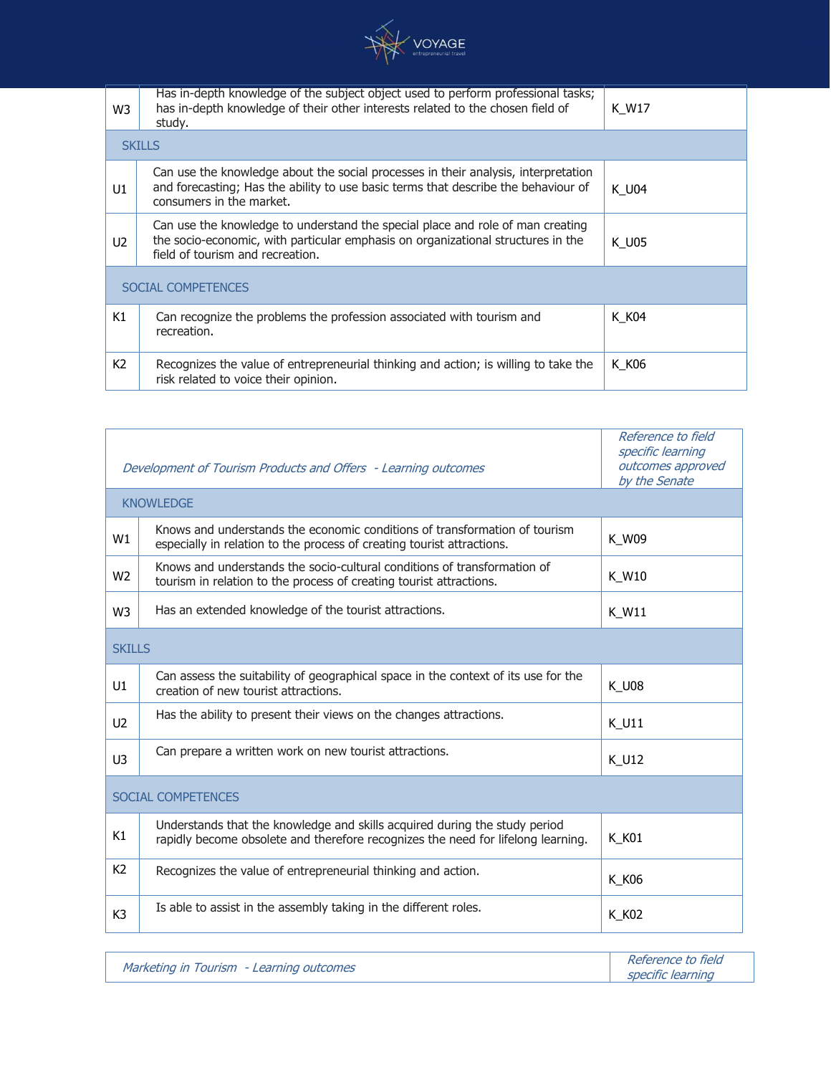

| W3             | Has in-depth knowledge of the subject object used to perform professional tasks;<br>has in-depth knowledge of their other interests related to the chosen field of<br>study.                           | K W17 |
|----------------|--------------------------------------------------------------------------------------------------------------------------------------------------------------------------------------------------------|-------|
|                | <b>SKILLS</b>                                                                                                                                                                                          |       |
| U1             | Can use the knowledge about the social processes in their analysis, interpretation<br>and forecasting; Has the ability to use basic terms that describe the behaviour of<br>consumers in the market.   | K U04 |
| U <sub>2</sub> | Can use the knowledge to understand the special place and role of man creating<br>the socio-economic, with particular emphasis on organizational structures in the<br>field of tourism and recreation. | K U05 |
|                | <b>SOCIAL COMPETENCES</b>                                                                                                                                                                              |       |
| K1             | Can recognize the problems the profession associated with tourism and<br>recreation.                                                                                                                   | K K04 |
| K <sub>2</sub> | Recognizes the value of entrepreneurial thinking and action; is willing to take the<br>risk related to voice their opinion.                                                                            | K K06 |

|                | Development of Tourism Products and Offers - Learning outcomes                                                                                                 | Reference to field<br>specific learning<br>outcomes approved<br>by the Senate |
|----------------|----------------------------------------------------------------------------------------------------------------------------------------------------------------|-------------------------------------------------------------------------------|
|                | <b>KNOWLEDGE</b>                                                                                                                                               |                                                                               |
| W1             | Knows and understands the economic conditions of transformation of tourism<br>especially in relation to the process of creating tourist attractions.           | K W09                                                                         |
| W <sub>2</sub> | Knows and understands the socio-cultural conditions of transformation of<br>tourism in relation to the process of creating tourist attractions.                | K W10                                                                         |
| W <sub>3</sub> | Has an extended knowledge of the tourist attractions.                                                                                                          | K W11                                                                         |
| <b>SKTLIS</b>  |                                                                                                                                                                |                                                                               |
| U1             | Can assess the suitability of geographical space in the context of its use for the<br>creation of new tourist attractions.                                     | <b>K U08</b>                                                                  |
| U <sub>2</sub> | Has the ability to present their views on the changes attractions.                                                                                             | K_U11                                                                         |
| U <sub>3</sub> | Can prepare a written work on new tourist attractions.                                                                                                         | K U12                                                                         |
|                | SOCIAL COMPETENCES                                                                                                                                             |                                                                               |
| K1             | Understands that the knowledge and skills acquired during the study period<br>rapidly become obsolete and therefore recognizes the need for lifelong learning. | K K01                                                                         |
| K <sub>2</sub> | Recognizes the value of entrepreneurial thinking and action.                                                                                                   | K_K06                                                                         |
| K <sub>3</sub> | Is able to assist in the assembly taking in the different roles.                                                                                               | K_K02                                                                         |

| Marketing in Tourism - Learning outcomes | Reference to field |
|------------------------------------------|--------------------|
|                                          | specific learning  |

 $\sqrt{ }$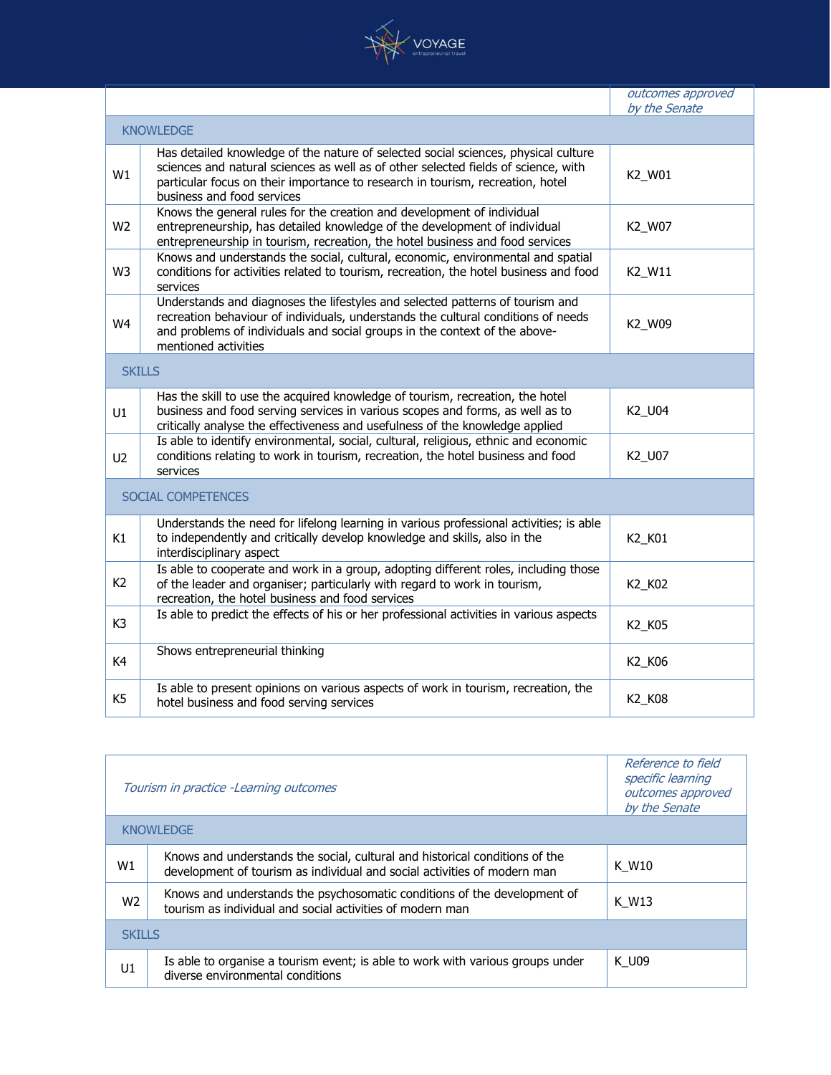

|                |                                                                                                                                                                                                                                                                                          | <i>outcomes approved</i><br>by the Senate |
|----------------|------------------------------------------------------------------------------------------------------------------------------------------------------------------------------------------------------------------------------------------------------------------------------------------|-------------------------------------------|
|                | <b>KNOWLEDGE</b>                                                                                                                                                                                                                                                                         |                                           |
| W1             | Has detailed knowledge of the nature of selected social sciences, physical culture<br>sciences and natural sciences as well as of other selected fields of science, with<br>particular focus on their importance to research in tourism, recreation, hotel<br>business and food services | K2_W01                                    |
| W <sub>2</sub> | Knows the general rules for the creation and development of individual<br>entrepreneurship, has detailed knowledge of the development of individual<br>entrepreneurship in tourism, recreation, the hotel business and food services                                                     | K2_W07                                    |
| W <sub>3</sub> | Knows and understands the social, cultural, economic, environmental and spatial<br>conditions for activities related to tourism, recreation, the hotel business and food<br>services                                                                                                     | K2_W11                                    |
| W4             | Understands and diagnoses the lifestyles and selected patterns of tourism and<br>recreation behaviour of individuals, understands the cultural conditions of needs<br>and problems of individuals and social groups in the context of the above-<br>mentioned activities                 | K2_W09                                    |
|                | <b>SKILLS</b>                                                                                                                                                                                                                                                                            |                                           |
| U1             | Has the skill to use the acquired knowledge of tourism, recreation, the hotel<br>business and food serving services in various scopes and forms, as well as to<br>critically analyse the effectiveness and usefulness of the knowledge applied                                           | K2_U04                                    |
| U <sub>2</sub> | Is able to identify environmental, social, cultural, religious, ethnic and economic<br>conditions relating to work in tourism, recreation, the hotel business and food<br>services                                                                                                       | K2_U07                                    |
|                | SOCIAL COMPETENCES                                                                                                                                                                                                                                                                       |                                           |
| K1             | Understands the need for lifelong learning in various professional activities; is able<br>to independently and critically develop knowledge and skills, also in the<br>interdisciplinary aspect                                                                                          | K2 K01                                    |
| K <sub>2</sub> | Is able to cooperate and work in a group, adopting different roles, including those<br>of the leader and organiser; particularly with regard to work in tourism,<br>recreation, the hotel business and food services                                                                     | K2_K02                                    |
| K <sub>3</sub> | Is able to predict the effects of his or her professional activities in various aspects                                                                                                                                                                                                  | K2_K05                                    |
| K4             | Shows entrepreneurial thinking                                                                                                                                                                                                                                                           | K2_K06                                    |
| K <sub>5</sub> | Is able to present opinions on various aspects of work in tourism, recreation, the<br>hotel business and food serving services                                                                                                                                                           | K2_K08                                    |

| Tourism in practice -Learning outcomes |                                                                                                                                                         | Reference to field<br>specific learning<br>outcomes approved<br>by the Senate |
|----------------------------------------|---------------------------------------------------------------------------------------------------------------------------------------------------------|-------------------------------------------------------------------------------|
|                                        | <b>KNOWLEDGE</b>                                                                                                                                        |                                                                               |
| W1                                     | Knows and understands the social, cultural and historical conditions of the<br>development of tourism as individual and social activities of modern man | K W10                                                                         |
| W <sub>2</sub>                         | Knows and understands the psychosomatic conditions of the development of<br>tourism as individual and social activities of modern man                   | K W13                                                                         |
| <b>SKTLLS</b>                          |                                                                                                                                                         |                                                                               |
| U1                                     | Is able to organise a tourism event; is able to work with various groups under<br>diverse environmental conditions                                      | K U09                                                                         |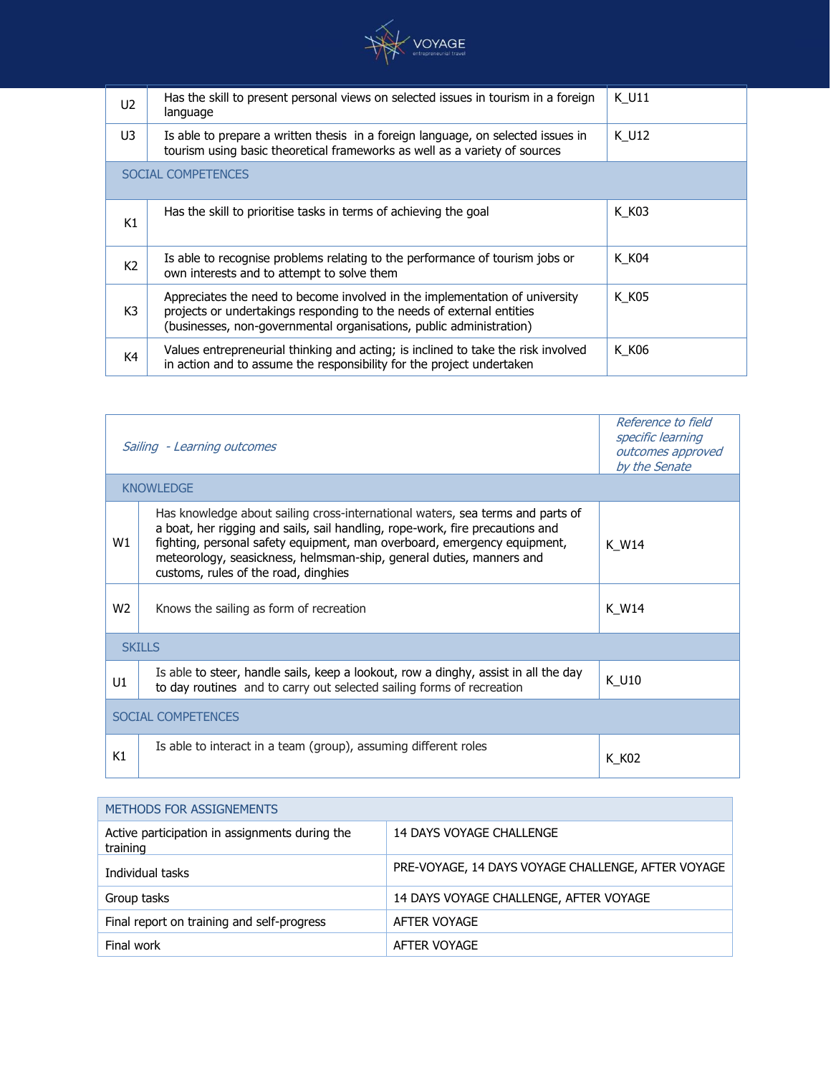

| U <sub>2</sub>     | Has the skill to present personal views on selected issues in tourism in a foreign<br>language                                                                                                                              | K U11 |  |  |
|--------------------|-----------------------------------------------------------------------------------------------------------------------------------------------------------------------------------------------------------------------------|-------|--|--|
| U3                 | Is able to prepare a written thesis in a foreign language, on selected issues in<br>tourism using basic theoretical frameworks as well as a variety of sources                                                              | K U12 |  |  |
| SOCIAL COMPETENCES |                                                                                                                                                                                                                             |       |  |  |
| K1                 | Has the skill to prioritise tasks in terms of achieving the goal                                                                                                                                                            | K K03 |  |  |
| K <sub>2</sub>     | Is able to recognise problems relating to the performance of tourism jobs or<br>own interests and to attempt to solve them                                                                                                  | K K04 |  |  |
| K <sub>3</sub>     | Appreciates the need to become involved in the implementation of university<br>projects or undertakings responding to the needs of external entities<br>(businesses, non-governmental organisations, public administration) | K K05 |  |  |
| K4                 | Values entrepreneurial thinking and acting; is inclined to take the risk involved<br>in action and to assume the responsibility for the project undertaken                                                                  | K K06 |  |  |

| Sailing - Learning outcomes |                                                                                                                                                                                                                                                                                                                                                             | Reference to field<br>specific learning<br>outcomes approved<br>by the Senate |  |  |
|-----------------------------|-------------------------------------------------------------------------------------------------------------------------------------------------------------------------------------------------------------------------------------------------------------------------------------------------------------------------------------------------------------|-------------------------------------------------------------------------------|--|--|
| <b>KNOWLEDGE</b>            |                                                                                                                                                                                                                                                                                                                                                             |                                                                               |  |  |
| W1                          | Has knowledge about sailing cross-international waters, sea terms and parts of<br>a boat, her rigging and sails, sail handling, rope-work, fire precautions and<br>fighting, personal safety equipment, man overboard, emergency equipment,<br>meteorology, seasickness, helmsman-ship, general duties, manners and<br>customs, rules of the road, dinghies | K W14                                                                         |  |  |
| W <sub>2</sub>              | Knows the sailing as form of recreation                                                                                                                                                                                                                                                                                                                     | K W14                                                                         |  |  |
| <b>SKILLS</b>               |                                                                                                                                                                                                                                                                                                                                                             |                                                                               |  |  |
| U1                          | Is able to steer, handle sails, keep a lookout, row a dinghy, assist in all the day<br>to day routines and to carry out selected sailing forms of recreation                                                                                                                                                                                                | K U10                                                                         |  |  |
| SOCIAL COMPETENCES          |                                                                                                                                                                                                                                                                                                                                                             |                                                                               |  |  |
| Κ1                          | Is able to interact in a team (group), assuming different roles                                                                                                                                                                                                                                                                                             | K K02                                                                         |  |  |

## METHODS FOR ASSIGNEMENTS Active participation in assignments during the training 14 DAYS VOYAGE CHALLENGE Individual tasks **PRE-VOYAGE, 14 DAYS VOYAGE CHALLENGE, AFTER VOYAGE** Group tasks **14 DAYS VOYAGE CHALLENGE, AFTER VOYAGE** Final report on training and self-progress <br>AFTER VOYAGE Final work **AFTER VOYAGE**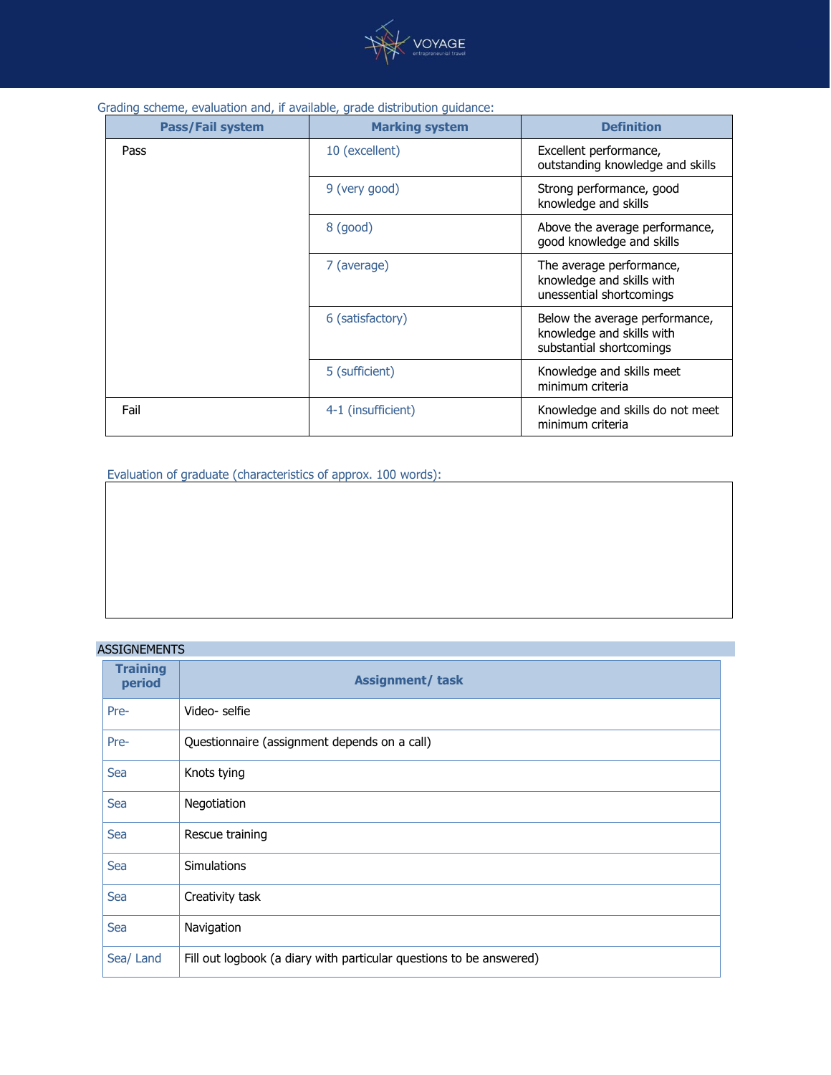

| <b>Pass/Fail system</b> | <b>Marking system</b> | <b>Definition</b>                                                                       |
|-------------------------|-----------------------|-----------------------------------------------------------------------------------------|
| Pass                    | 10 (excellent)        | Excellent performance,<br>outstanding knowledge and skills                              |
|                         | 9 (very good)         | Strong performance, good<br>knowledge and skills                                        |
|                         | $8$ (good)            | Above the average performance,<br>good knowledge and skills                             |
|                         | 7 (average)           | The average performance,<br>knowledge and skills with<br>unessential shortcomings       |
|                         | 6 (satisfactory)      | Below the average performance,<br>knowledge and skills with<br>substantial shortcomings |
|                         | 5 (sufficient)        | Knowledge and skills meet<br>minimum criteria                                           |
| Fail                    | 4-1 (insufficient)    | Knowledge and skills do not meet<br>minimum criteria                                    |

Evaluation of graduate (characteristics of approx. 100 words):

## ASSIGNEMENTS

| <b>Training</b><br>period | <b>Assignment/ task</b>                                             |
|---------------------------|---------------------------------------------------------------------|
| Pre-                      | Video-selfie                                                        |
| Pre-                      | Questionnaire (assignment depends on a call)                        |
| Sea                       | Knots tying                                                         |
| Sea                       | Negotiation                                                         |
| Sea                       | Rescue training                                                     |
| Sea                       | <b>Simulations</b>                                                  |
| Sea                       | Creativity task                                                     |
| Sea                       | Navigation                                                          |
| Sea/ Land                 | Fill out logbook (a diary with particular questions to be answered) |